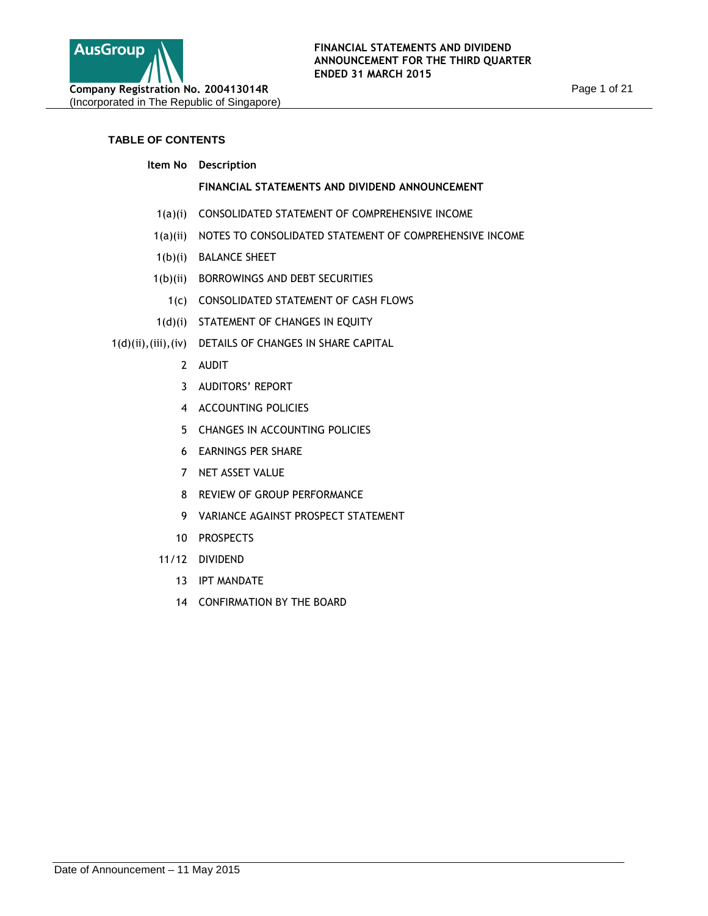

# **TABLE OF CONTENTS**

**Item No Description**

# **FINANCIAL STATEMENTS AND DIVIDEND ANNOUNCEMENT**

- 1(a)(i) CONSOLIDATED STATEMENT OF COMPREHENSIVE INCOME
- 1(a)(ii) NOTES TO CONSOLIDATED STATEMENT OF COMPREHENSIVE INCOME
- 1(b)(i) BALANCE SHEET
- 1(b)(ii) BORROWINGS AND DEBT SECURITIES
	- 1(c) CONSOLIDATED STATEMENT OF CASH FLOWS
- 1(d)(i) STATEMENT OF CHANGES IN EQUITY
- 1(d)(ii),(iii),(iv) DETAILS OF CHANGES IN SHARE CAPITAL
	- 2 AUDIT
	- 3 AUDITORS' REPORT
	- 4 ACCOUNTING POLICIES
	- 5 CHANGES IN ACCOUNTING POLICIES
	- 6 EARNINGS PER SHARE
	- 7 NET ASSET VALUE
	- 8 REVIEW OF GROUP PERFORMANCE
	- 9 VARIANCE AGAINST PROSPECT STATEMENT
	- 10 PROSPECTS
	- 11/12 DIVIDEND
		- 13 IPT MANDATE
		- 14 CONFIRMATION BY THE BOARD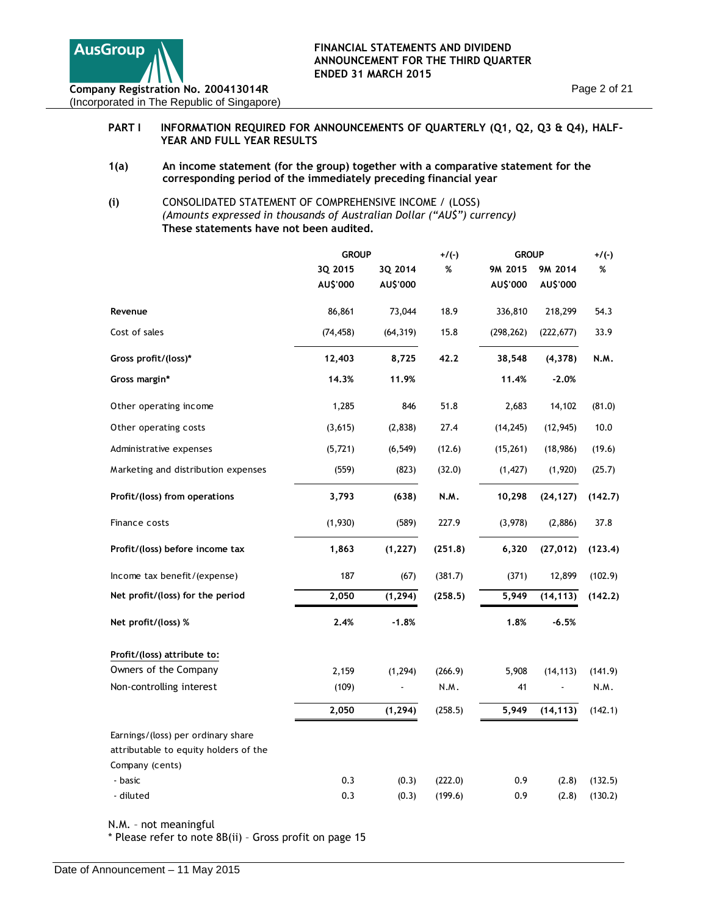

# PART I INFORMATION REQUIRED FOR ANNOUNCEMENTS OF QUARTERLY (Q1, Q2, Q3 & Q4), HALF-**YEAR AND FULL YEAR RESULTS**

- **1(a) An income statement (for the group) together with a comparative statement for the corresponding period of the immediately preceding financial year**
- **(i)** CONSOLIDATED STATEMENT OF COMPREHENSIVE INCOME / (LOSS) *(Amounts expressed in thousands of Australian Dollar ("AU\$") currency)*  **These statements have not been audited.**

|                                       | <b>GROUP</b> |           | $+/(-)$ | <b>GROUP</b> |            | $+/(-)$ |  |
|---------------------------------------|--------------|-----------|---------|--------------|------------|---------|--|
|                                       | 3Q 2015      | 3Q 2014   | %       | 9M 2015      | 9M 2014    | %       |  |
|                                       | AU\$'000     | AU\$'000  |         | AU\$'000     | AU\$'000   |         |  |
| Revenue                               | 86,861       | 73,044    | 18.9    | 336,810      | 218,299    | 54.3    |  |
| Cost of sales                         | (74, 458)    | (64, 319) | 15.8    | (298, 262)   | (222, 677) | 33.9    |  |
| Gross profit/(loss)*                  | 12,403       | 8,725     | 42.2    | 38,548       | (4,378)    | N.M.    |  |
| Gross margin*                         | 14.3%        | 11.9%     |         | 11.4%        | -2.0%      |         |  |
| Other operating income                | 1,285        | 846       | 51.8    | 2,683        | 14,102     | (81.0)  |  |
| Other operating costs                 | (3,615)      | (2,838)   | 27.4    | (14, 245)    | (12, 945)  | 10.0    |  |
| Administrative expenses               | (5, 721)     | (6, 549)  | (12.6)  | (15, 261)    | (18,986)   | (19.6)  |  |
| Marketing and distribution expenses   | (559)        | (823)     | (32.0)  | (1, 427)     | (1,920)    | (25.7)  |  |
| Profit/(loss) from operations         | 3,793        | (638)     | N.M.    | 10,298       | (24, 127)  | (142.7) |  |
| Finance costs                         | (1,930)      | (589)     | 227.9   | (3,978)      | (2,886)    | 37.8    |  |
| Profit/(loss) before income tax       | 1,863        | (1, 227)  | (251.8) | 6,320        | (27, 012)  | (123.4) |  |
| Income tax benefit/(expense)          | 187          | (67)      | (381.7) | (371)        | 12,899     | (102.9) |  |
| Net profit/(loss) for the period      | 2,050        | (1, 294)  | (258.5) | 5,949        | (14, 113)  | (142.2) |  |
| Net profit/(loss) %                   | 2.4%         | $-1.8%$   |         | 1.8%         | $-6.5%$    |         |  |
| Profit/(loss) attribute to:           |              |           |         |              |            |         |  |
| Owners of the Company                 | 2,159        | (1, 294)  | (266.9) | 5,908        | (14, 113)  | (141.9) |  |
| Non-controlling interest              | (109)        |           | N.M.    | 41           |            | N.M.    |  |
|                                       | 2,050        | (1, 294)  | (258.5) | 5,949        | (14, 113)  | (142.1) |  |
| Earnings/(loss) per ordinary share    |              |           |         |              |            |         |  |
| attributable to equity holders of the |              |           |         |              |            |         |  |
| Company (cents)                       |              |           |         |              |            |         |  |
| - basic                               | 0.3          | (0.3)     | (222.0) | 0.9          | (2.8)      | (132.5) |  |
| - diluted                             | 0.3          | (0.3)     | (199.6) | 0.9          | (2.8)      | (130.2) |  |

N.M. – not meaningful

\* Please refer to note 8B(ii) – Gross profit on page 15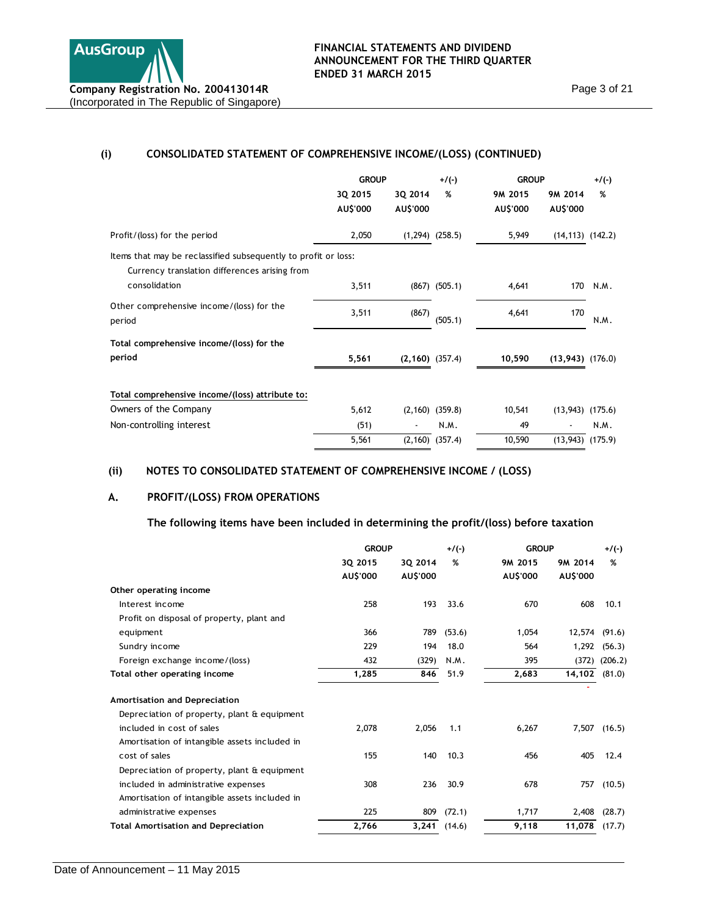

# **(i) CONSOLIDATED STATEMENT OF COMPREHENSIVE INCOME/(LOSS) (CONTINUED)**

|                                                                                                                 | <b>GROUP</b>        |                      | $+$ /(-)            | <b>GROUP</b>        |                       | $+/(-)$ |
|-----------------------------------------------------------------------------------------------------------------|---------------------|----------------------|---------------------|---------------------|-----------------------|---------|
|                                                                                                                 | 3Q 2015<br>AU\$'000 | 3Q 2014<br>AU\$'000  | %                   | 9M 2015<br>AU\$'000 | 9M 2014<br>AU\$'000   | %       |
| Profit/(loss) for the period                                                                                    | 2,050               |                      | $(1,294)$ $(258.5)$ | 5,949               | $(14, 113)$ $(142.2)$ |         |
| Items that may be reclassified subsequently to profit or loss:<br>Currency translation differences arising from |                     |                      |                     |                     |                       |         |
| consolidation                                                                                                   | 3,511               |                      | $(867)$ $(505.1)$   | 4,641               | 170                   | N.M.    |
| Other comprehensive income/(loss) for the<br>period                                                             | 3,511               | (867)                | (505.1)             | 4,641               | 170                   | N.M.    |
| Total comprehensive income/(loss) for the                                                                       |                     |                      |                     |                     |                       |         |
| period                                                                                                          | 5,561               | $(2, 160)$ $(357.4)$ |                     | 10,590              | $(13,943)$ $(176.0)$  |         |
| Total comprehensive income/(loss) attribute to:                                                                 |                     |                      |                     |                     |                       |         |
| Owners of the Company                                                                                           | 5,612               |                      | $(2,160)$ $(359.8)$ | 10,541              | (13, 943)             | (175.6) |
| Non-controlling interest                                                                                        | (51)                |                      | N.M.                | 49                  |                       | N.M.    |
|                                                                                                                 | 5,561               |                      | $(2,160)$ $(357.4)$ | 10,590              | $(13,943)$ $(175.9)$  |         |

# **(ii) NOTES TO CONSOLIDATED STATEMENT OF COMPREHENSIVE INCOME / (LOSS)**

# **A. PROFIT/(LOSS) FROM OPERATIONS**

**The following items have been included in determining the profit/(loss) before taxation** 

|                                               | <b>GROUP</b> |          | $+/(-)$ | <b>GROUP</b> |          | $+/(-)$ |
|-----------------------------------------------|--------------|----------|---------|--------------|----------|---------|
|                                               | 3Q 2015      | 3Q 2014  | %       | 9M 2015      | 9M 2014  | %       |
|                                               | AU\$'000     | AU\$'000 |         | AU\$'000     | AU\$'000 |         |
| Other operating income                        |              |          |         |              |          |         |
| Interest income                               | 258          | 193      | 33.6    | 670          | 608      | 10.1    |
| Profit on disposal of property, plant and     |              |          |         |              |          |         |
| equipment                                     | 366          | 789      | (53.6)  | 1,054        | 12,574   | (91.6)  |
| Sundry income                                 | 229          | 194      | 18.0    | 564          | 1,292    | (56.3)  |
| Foreign exchange income/(loss)                | 432          | (329)    | N.M.    | 395          | (372)    | (206.2) |
| Total other operating income                  | 1,285        | 846      | 51.9    | 2,683        | 14,102   | (81.0)  |
| Amortisation and Depreciation                 |              |          |         |              |          |         |
| Depreciation of property, plant & equipment   |              |          |         |              |          |         |
| included in cost of sales                     | 2,078        | 2,056    | 1.1     | 6,267        | 7,507    | (16.5)  |
| Amortisation of intangible assets included in |              |          |         |              |          |         |
| cost of sales                                 | 155          | 140      | 10.3    | 456          | 405      | 12.4    |
| Depreciation of property, plant & equipment   |              |          |         |              |          |         |
| included in administrative expenses           | 308          | 236      | 30.9    | 678          | 757      | (10.5)  |
| Amortisation of intangible assets included in |              |          |         |              |          |         |
| administrative expenses                       | 225          | 809      | (72.1)  | 1,717        | 2,408    | (28.7)  |
| <b>Total Amortisation and Depreciation</b>    | 2,766        | 3,241    | (14.6)  | 9,118        | 11,078   | (17.7)  |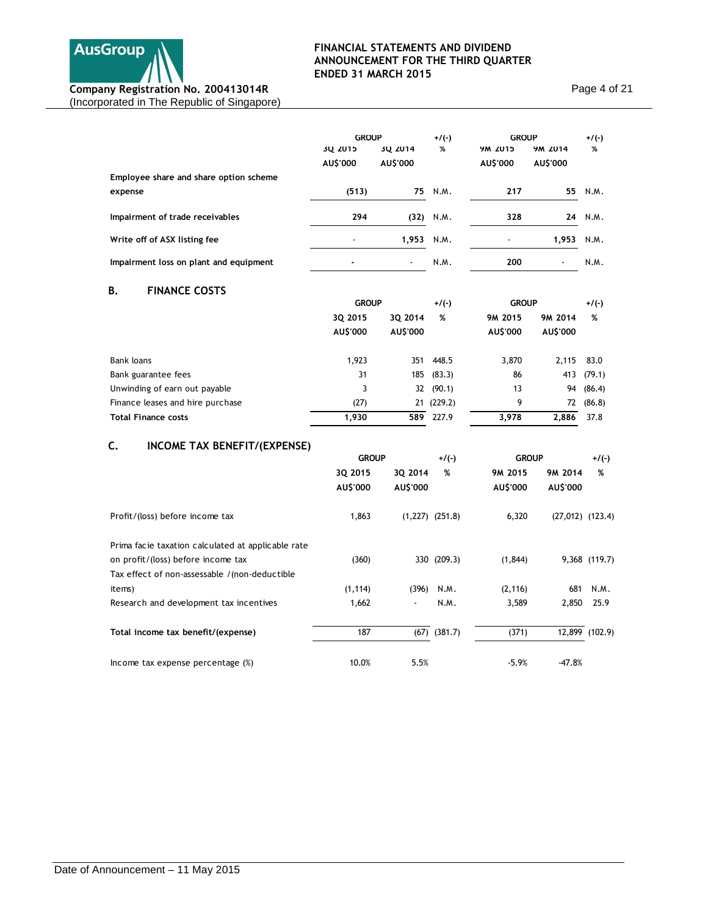

Page 4 of 21

|                                        | <b>GROUP</b> |          | $+/(-)$  | <b>GROUP</b>   |          | $+/(-)$ |
|----------------------------------------|--------------|----------|----------|----------------|----------|---------|
|                                        | 3Q 2015      | 3Q 2014  | %        | <b>9M 2015</b> | 9M 2014  | %       |
|                                        | AU\$'000     | AU\$'000 |          | AU\$'000       | AU\$'000 |         |
| Employee share and share option scheme |              |          |          |                |          |         |
| expense                                | (513)        | 75       | N.M.     | 217            | 55       | N.M.    |
| Impairment of trade receivables        | 294          | (32)     | N.M.     | 328            | 24       | N.M.    |
| Write off of ASX listing fee           |              | 1,953    | N.M.     |                | 1,953    | N.M.    |
| Impairment loss on plant and equipment |              |          | N.M.     | 200            |          | N.M.    |
| <b>FINANCE COSTS</b><br>В.             |              |          |          |                |          |         |
|                                        | <b>GROUP</b> |          | $+/(-)$  | <b>GROUP</b>   |          | $+/(-)$ |
|                                        | 3Q 2015      | 3Q 2014  | %        | 9M 2015        | 9M 2014  | %       |
|                                        | AU\$'000     | AU\$'000 |          | AU\$'000       | AU\$'000 |         |
| <b>Bank loans</b>                      | 1,923        | 351      | 448.5    | 3,870          | 2,115    | 83.0    |
| Bank guarantee fees                    | 31           | 185      | (83.3)   | 86             | 413      | (79.1)  |
| Unwinding of earn out payable          | 3            | 32       | (90.1)   | 13             | 94       | (86.4)  |
| Finance leases and hire purchase       | (27)         | 21       | (229.2)  | 9              | 72       | (86.8)  |
| <b>Total Finance costs</b>             | 1,930        | 589      | 227.9    | 3,978          | 2,886    | 37.8    |
| INCOME TAX BENEFIT/(EXPENSE)<br>C.     |              |          |          |                |          |         |
|                                        | <b>GROUP</b> |          | $+$ /(-) | <b>GROUP</b>   |          | +/(-)   |
|                                        | 3Q 2015      | 3Q 2014  | %        | 9M 2015        | 9M 2014  | %       |
|                                        | AU\$'000     | AU\$'000 |          | AU\$'000       | AU\$'000 |         |

| Profit/(loss) before income tax                    | 1,863    | $(1,227)$ $(251.8)$      |                  | 6.320    | $(27,012)$ $(123.4)$ |                |
|----------------------------------------------------|----------|--------------------------|------------------|----------|----------------------|----------------|
| Prima facie taxation calculated at applicable rate |          |                          |                  |          |                      |                |
| on profit/(loss) before income tax                 | (360)    |                          | 330 (209.3)      | (1, 844) |                      | 9,368 (119.7)  |
| Tax effect of non-assessable / (non-deductible     |          |                          |                  |          |                      |                |
| items)                                             | (1, 114) | (396)                    | N.M.             | (2, 116) | 681                  | N.M.           |
| Research and development tax incentives            | 1,662    | $\overline{\phantom{a}}$ | N.M.             | 3.589    | 2,850                | 25.9           |
| Total income tax benefit/(expense)                 | 187      |                          | $(67)$ $(381.7)$ | (371)    |                      | 12,899 (102.9) |
| Income tax expense percentage (%)                  | 10.0%    | 5.5%                     |                  | $-5.9%$  | $-47.8%$             |                |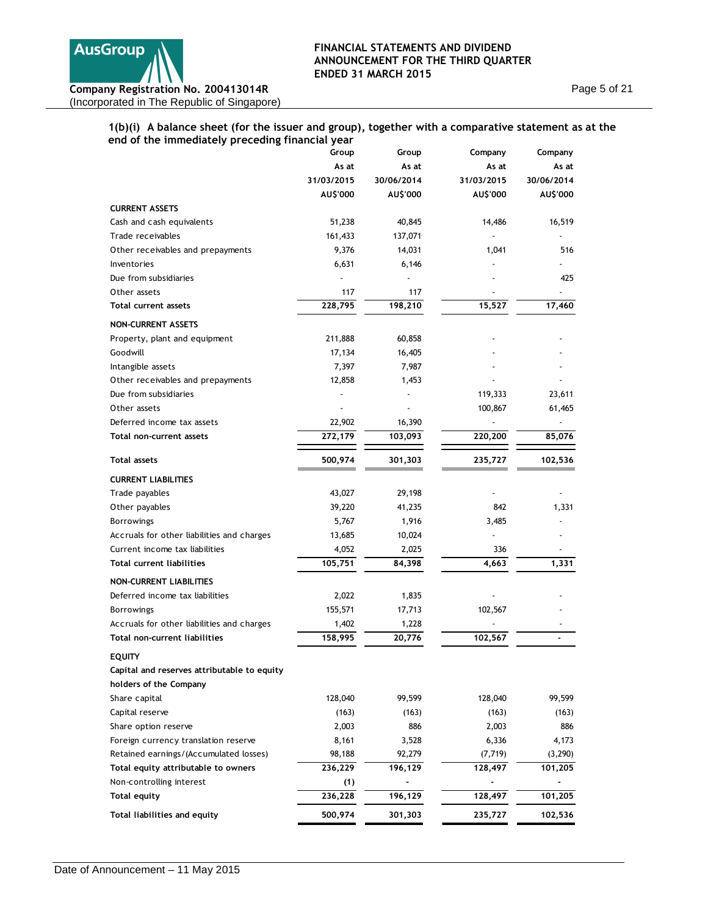

Page 5 of 21

# **1(b)(i) A balance sheet (for the issuer and group), together with a comparative statement as at the end of the immediately preceding financial year**

| cha or the immediately preceding inn                         | Group          | Group      | Company    | Company    |
|--------------------------------------------------------------|----------------|------------|------------|------------|
|                                                              | As at          | As at      | As at      | As at      |
|                                                              | 31/03/2015     | 30/06/2014 | 31/03/2015 | 30/06/2014 |
|                                                              | AU\$'000       | AU\$'000   | AU\$'000   | AU\$'000   |
| <b>CURRENT ASSETS</b>                                        |                |            |            |            |
| Cash and cash equivalents                                    | 51,238         | 40,845     | 14,486     | 16,519     |
| Trade receivables                                            | 161,433        | 137,071    |            |            |
| Other receivables and prepayments                            | 9,376          | 14,031     | 1,041      | 516        |
| Inventories                                                  | 6,631          | 6,146      |            |            |
| Due from subsidiaries                                        |                |            |            | 425        |
| Other assets                                                 | 117            | 117        |            |            |
| Total current assets                                         | 228,795        | 198,210    | 15,527     | 17,460     |
|                                                              |                |            |            |            |
| <b>NON-CURRENT ASSETS</b>                                    |                |            |            |            |
| Property, plant and equipment                                | 211,888        | 60,858     |            |            |
| Goodwill                                                     | 17,134         | 16,405     |            |            |
| Intangible assets                                            | 7,397          | 7,987      |            |            |
| Other receivables and prepayments                            | 12,858         | 1,453      |            |            |
| Due from subsidiaries                                        |                |            | 119,333    | 23,611     |
| Other assets                                                 |                |            | 100,867    | 61,465     |
| Deferred income tax assets                                   | 22,902         | 16,390     |            |            |
| Total non-current assets                                     | 272,179        | 103,093    | 220,200    | 85,076     |
| <b>Total assets</b>                                          | 500,974        | 301,303    | 235,727    | 102,536    |
| <b>CURRENT LIABILITIES</b>                                   |                |            |            |            |
| Trade payables                                               | 43,027         | 29,198     |            |            |
| Other payables                                               | 39,220         | 41,235     | 842        | 1,331      |
| <b>Borrowings</b>                                            | 5,767          | 1,916      | 3,485      |            |
| Accruals for other liabilities and charges                   | 13,685         | 10,024     |            |            |
| Current income tax liabilities                               | 4,052          | 2,025      | 336        |            |
| <b>Total current liabilities</b>                             | 105,751        | 84,398     | 4,663      | 1,331      |
| <b>NON-CURRENT LIABILITIES</b>                               |                |            |            |            |
| Deferred income tax liabilities                              | 2,022          | 1,835      |            |            |
| <b>Borrowings</b>                                            | 155,571        | 17,713     | 102,567    |            |
| Accruals for other liabilities and charges                   | 1,402          | 1,228      |            |            |
| Total non-current liabilities                                | 158,995        | 20,776     | 102,567    |            |
|                                                              |                |            |            |            |
| <b>EQUITY</b><br>Capital and reserves attributable to equity |                |            |            |            |
|                                                              |                |            |            |            |
| holders of the Company                                       |                |            |            |            |
| Share capital                                                | 128,040        | 99,599     | 128,040    | 99,599     |
| Capital reserve                                              | (163)          | (163)      | (163)      | (163)      |
| Share option reserve                                         | 2,003          | 886        | 2,003      | 886        |
| Foreign currency translation reserve                         | 8,161          | 3,528      | 6,336      | 4,173      |
| Retained earnings/(Accumulated losses)                       | 98,188         | 92,279     | (7, 719)   | (3, 290)   |
| Total equity attributable to owners                          | 236,229        | 196,129    | 128,497    | 101,205    |
| Non-controlling interest<br><b>Total equity</b>              | (1)<br>236,228 | 196,129    |            |            |
|                                                              |                |            | 128,497    | 101,205    |
| Total liabilities and equity                                 | 500,974        | 301,303    | 235,727    | 102,536    |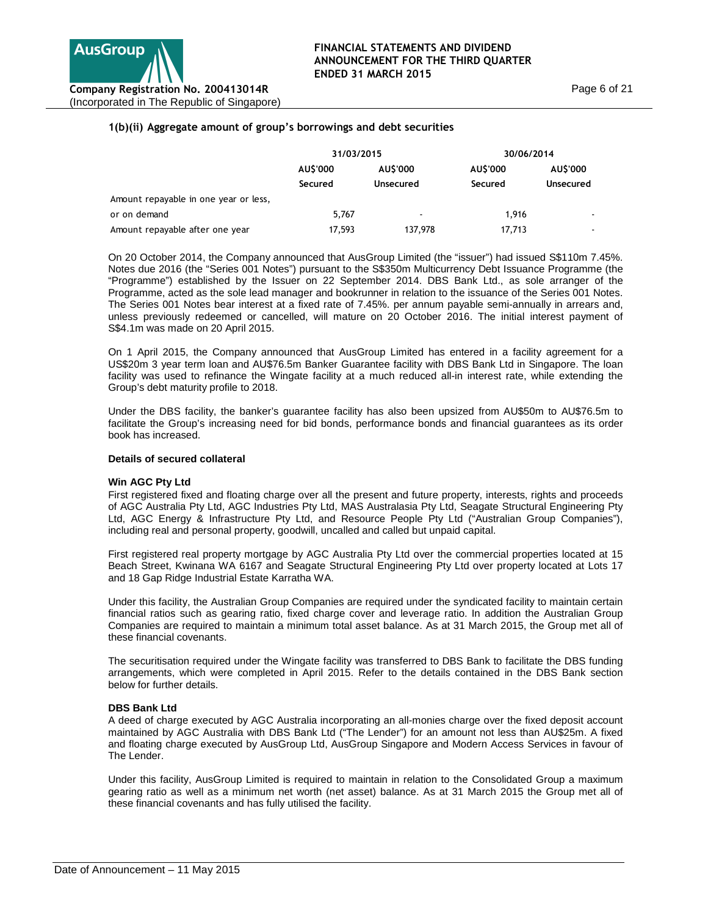# **1(b)(ii) Aggregate amount of group's borrowings and debt securities**

|                                       | 31/03/2015 |                          | 30/06/2014 |                  |  |
|---------------------------------------|------------|--------------------------|------------|------------------|--|
|                                       | AUS'000    | AUS'000                  | AUS'000    | AU\$'000         |  |
|                                       | Secured    | Unsecured                | Secured    | <b>Unsecured</b> |  |
| Amount repayable in one year or less, |            |                          |            |                  |  |
| or on demand                          | 5,767      | $\overline{\phantom{a}}$ | 1.916      |                  |  |
| Amount repayable after one year       | 17,593     | 137,978                  | 17.713     | ۰                |  |

On 20 October 2014, the Company announced that AusGroup Limited (the "issuer") had issued S\$110m 7.45%. Notes due 2016 (the "Series 001 Notes") pursuant to the S\$350m Multicurrency Debt Issuance Programme (the "Programme") established by the Issuer on 22 September 2014. DBS Bank Ltd., as sole arranger of the Programme, acted as the sole lead manager and bookrunner in relation to the issuance of the Series 001 Notes. The Series 001 Notes bear interest at a fixed rate of 7.45%. per annum payable semi-annually in arrears and, unless previously redeemed or cancelled, will mature on 20 October 2016. The initial interest payment of S\$4.1m was made on 20 April 2015.

On 1 April 2015, the Company announced that AusGroup Limited has entered in a facility agreement for a US\$20m 3 year term loan and AU\$76.5m Banker Guarantee facility with DBS Bank Ltd in Singapore. The loan facility was used to refinance the Wingate facility at a much reduced all-in interest rate, while extending the Group's debt maturity profile to 2018.

Under the DBS facility, the banker's guarantee facility has also been upsized from AU\$50m to AU\$76.5m to facilitate the Group's increasing need for bid bonds, performance bonds and financial guarantees as its order book has increased.

#### **Details of secured collateral**

#### **Win AGC Pty Ltd**

First registered fixed and floating charge over all the present and future property, interests, rights and proceeds of AGC Australia Pty Ltd, AGC Industries Pty Ltd, MAS Australasia Pty Ltd, Seagate Structural Engineering Pty Ltd, AGC Energy & Infrastructure Pty Ltd, and Resource People Pty Ltd ("Australian Group Companies"), including real and personal property, goodwill, uncalled and called but unpaid capital.

First registered real property mortgage by AGC Australia Pty Ltd over the commercial properties located at 15 Beach Street, Kwinana WA 6167 and Seagate Structural Engineering Pty Ltd over property located at Lots 17 and 18 Gap Ridge Industrial Estate Karratha WA.

Under this facility, the Australian Group Companies are required under the syndicated facility to maintain certain financial ratios such as gearing ratio, fixed charge cover and leverage ratio. In addition the Australian Group Companies are required to maintain a minimum total asset balance. As at 31 March 2015, the Group met all of these financial covenants.

The securitisation required under the Wingate facility was transferred to DBS Bank to facilitate the DBS funding arrangements, which were completed in April 2015. Refer to the details contained in the DBS Bank section below for further details.

#### **DBS Bank Ltd**

A deed of charge executed by AGC Australia incorporating an all-monies charge over the fixed deposit account maintained by AGC Australia with DBS Bank Ltd ("The Lender") for an amount not less than AU\$25m. A fixed and floating charge executed by AusGroup Ltd, AusGroup Singapore and Modern Access Services in favour of The Lender.

Under this facility, AusGroup Limited is required to maintain in relation to the Consolidated Group a maximum gearing ratio as well as a minimum net worth (net asset) balance. As at 31 March 2015 the Group met all of these financial covenants and has fully utilised the facility.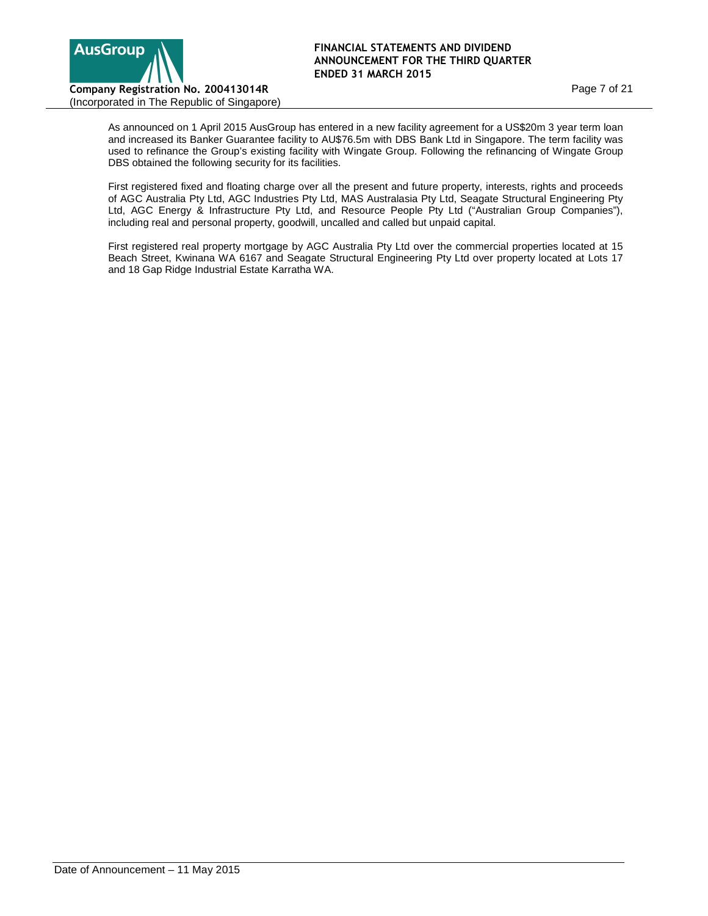

As announced on 1 April 2015 AusGroup has entered in a new facility agreement for a US\$20m 3 year term loan and increased its Banker Guarantee facility to AU\$76.5m with DBS Bank Ltd in Singapore. The term facility was used to refinance the Group's existing facility with Wingate Group. Following the refinancing of Wingate Group DBS obtained the following security for its facilities.

First registered fixed and floating charge over all the present and future property, interests, rights and proceeds of AGC Australia Pty Ltd, AGC Industries Pty Ltd, MAS Australasia Pty Ltd, Seagate Structural Engineering Pty Ltd, AGC Energy & Infrastructure Pty Ltd, and Resource People Pty Ltd ("Australian Group Companies"), including real and personal property, goodwill, uncalled and called but unpaid capital.

First registered real property mortgage by AGC Australia Pty Ltd over the commercial properties located at 15 Beach Street, Kwinana WA 6167 and Seagate Structural Engineering Pty Ltd over property located at Lots 17 and 18 Gap Ridge Industrial Estate Karratha WA.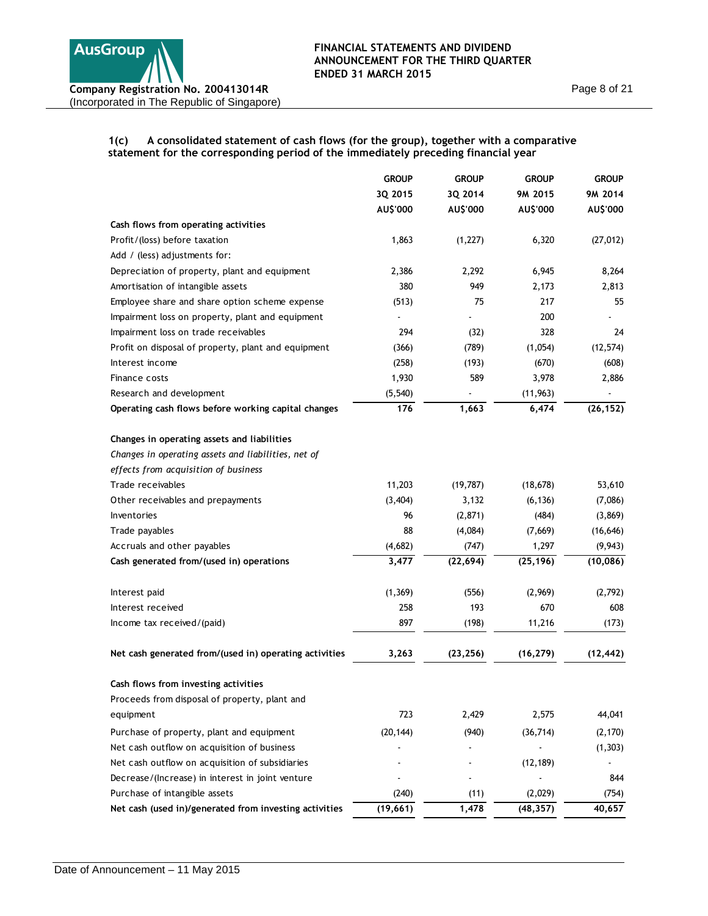# **1(c) A consolidated statement of cash flows (for the group), together with a comparative statement for the corresponding period of the immediately preceding financial year**

|                                                        | <b>GROUP</b> | <b>GROUP</b> | <b>GROUP</b> | <b>GROUP</b> |
|--------------------------------------------------------|--------------|--------------|--------------|--------------|
|                                                        | 3Q 2015      | 3Q 2014      | 9M 2015      | 9M 2014      |
|                                                        | AU\$'000     | AU\$'000     | AU\$'000     | AU\$'000     |
| Cash flows from operating activities                   |              |              |              |              |
| Profit/(loss) before taxation                          | 1,863        | (1, 227)     | 6,320        | (27, 012)    |
| Add / (less) adjustments for:                          |              |              |              |              |
| Depreciation of property, plant and equipment          | 2,386        | 2,292        | 6,945        | 8,264        |
| Amortisation of intangible assets                      | 380          | 949          | 2,173        | 2,813        |
| Employee share and share option scheme expense         | (513)        | 75           | 217          | 55           |
| Impairment loss on property, plant and equipment       |              |              | 200          |              |
| Impairment loss on trade receivables                   | 294          | (32)         | 328          | 24           |
| Profit on disposal of property, plant and equipment    | (366)        | (789)        | (1,054)      | (12, 574)    |
| Interest income                                        | (258)        | (193)        | (670)        | (608)        |
| Finance costs                                          | 1,930        | 589          | 3,978        | 2,886        |
| Research and development                               | (5, 540)     |              | (11, 963)    |              |
| Operating cash flows before working capital changes    | 176          | 1,663        | 6,474        | (26, 152)    |
| Changes in operating assets and liabilities            |              |              |              |              |
| Changes in operating assets and liabilities, net of    |              |              |              |              |
| effects from acquisition of business                   |              |              |              |              |
| Trade receivables                                      | 11,203       | (19, 787)    | (18, 678)    | 53,610       |
| Other receivables and prepayments                      | (3, 404)     | 3,132        | (6, 136)     | (7,086)      |
| Inventories                                            | 96           | (2,871)      | (484)        | (3,869)      |
| Trade payables                                         | 88           | (4,084)      | (7,669)      | (16, 646)    |
| Accruals and other payables                            | (4,682)      | (747)        | 1,297        | (9, 943)     |
| Cash generated from/(used in) operations               | 3,477        | (22, 694)    | (25, 196)    | (10, 086)    |
| Interest paid                                          | (1, 369)     | (556)        | (2,969)      | (2,792)      |
| Interest received                                      | 258          | 193          | 670          | 608          |
| Income tax received/(paid)                             | 897          | (198)        | 11,216       | (173)        |
| Net cash generated from/(used in) operating activities | 3,263        | (23, 256)    | (16, 279)    | (12, 442)    |
| Cash flows from investing activities                   |              |              |              |              |
| Proceeds from disposal of property, plant and          |              |              |              |              |
| equipment                                              | 723          | 2,429        | 2,575        | 44,041       |
| Purchase of property, plant and equipment              | (20, 144)    | (940)        | (36, 714)    | (2, 170)     |
| Net cash outflow on acquisition of business            |              |              |              | (1, 303)     |
| Net cash outflow on acquisition of subsidiaries        |              |              | (12, 189)    |              |
| Decrease/(Increase) in interest in joint venture       |              |              |              | 844          |
| Purchase of intangible assets                          | (240)        | (11)         | (2,029)      | (754)        |
| Net cash (used in)/generated from investing activities | (19, 661)    | 1,478        | (48, 357)    | 40,657       |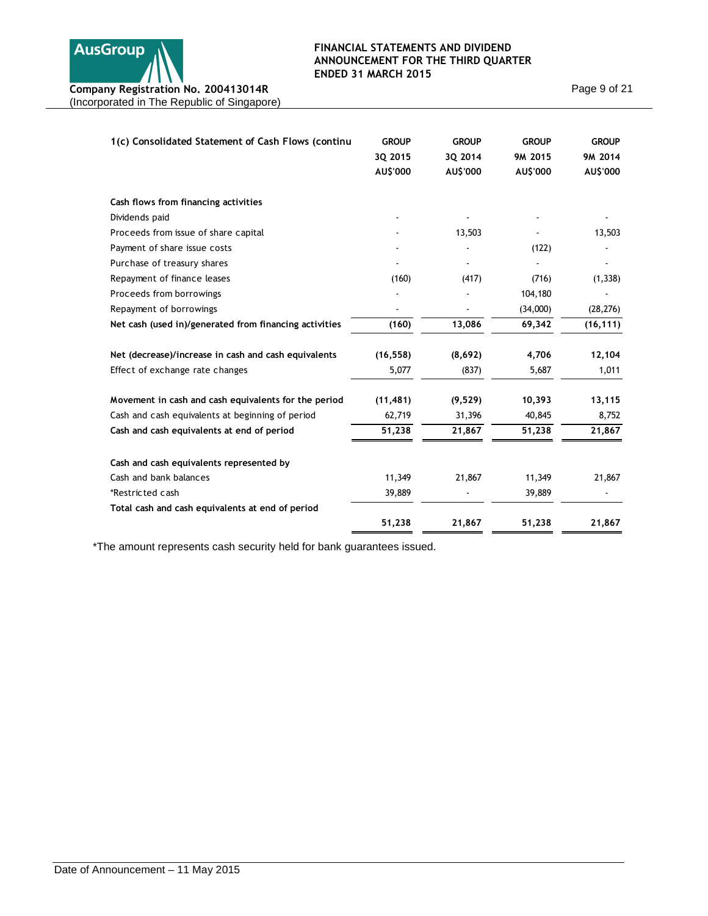

Page 9 of 21

| 1(c) Consolidated Statement of Cash Flows (continu     | <b>GROUP</b><br>3Q 2015<br>AU\$'000 | <b>GROUP</b><br>3Q 2014<br>AU\$'000 | <b>GROUP</b><br>9M 2015<br>AU\$'000 | <b>GROUP</b><br>9M 2014<br>AU\$'000 |
|--------------------------------------------------------|-------------------------------------|-------------------------------------|-------------------------------------|-------------------------------------|
|                                                        |                                     |                                     |                                     |                                     |
| Cash flows from financing activities                   |                                     |                                     |                                     |                                     |
| Dividends paid                                         |                                     |                                     |                                     |                                     |
| Proceeds from issue of share capital                   |                                     | 13,503                              |                                     | 13,503                              |
| Payment of share issue costs                           |                                     |                                     | (122)                               |                                     |
| Purchase of treasury shares                            |                                     |                                     |                                     |                                     |
| Repayment of finance leases                            | (160)                               | (417)                               | (716)                               | (1, 338)                            |
| Proceeds from borrowings                               |                                     |                                     | 104,180                             |                                     |
| Repayment of borrowings                                |                                     |                                     | (34,000)                            | (28, 276)                           |
| Net cash (used in)/generated from financing activities | (160)                               | 13,086                              | 69,342                              | (16, 111)                           |
| Net (decrease)/increase in cash and cash equivalents   | (16, 558)                           | (8,692)                             | 4,706                               | 12,104                              |
| Effect of exchange rate changes                        | 5,077                               | (837)                               | 5,687                               | 1,011                               |
| Movement in cash and cash equivalents for the period   | (11, 481)                           | (9,529)                             | 10,393                              | 13,115                              |
| Cash and cash equivalents at beginning of period       | 62,719                              | 31,396                              | 40,845                              | 8,752                               |
| Cash and cash equivalents at end of period             | 51,238                              | 21,867                              | 51,238                              | 21,867                              |
| Cash and cash equivalents represented by               |                                     |                                     |                                     |                                     |
| Cash and bank balances                                 | 11,349                              | 21,867                              | 11,349                              | 21,867                              |
| *Restricted cash                                       | 39,889                              |                                     | 39,889                              |                                     |
| Total cash and cash equivalents at end of period       |                                     |                                     |                                     |                                     |
|                                                        | 51,238                              | 21,867                              | 51,238                              | 21,867                              |

\*The amount represents cash security held for bank guarantees issued.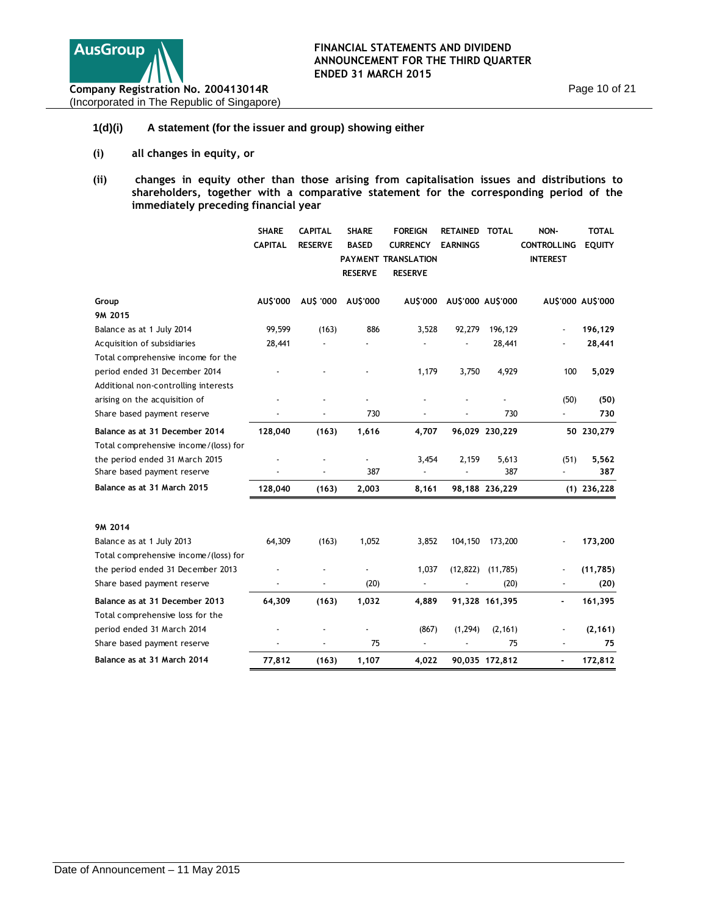

# **1(d)(i) A statement (for the issuer and group) showing either**

- **(i) all changes in equity, or**
- **(ii) changes in equity other than those arising from capitalisation issues and distributions to shareholders, together with a comparative statement for the corresponding period of the immediately preceding financial year**

|                                                                    | <b>SHARE</b><br><b>CAPITAL</b> | <b>CAPITAL</b><br><b>RESERVE</b> | <b>SHARE</b><br><b>BASED</b><br><b>RESERVE</b> | <b>FOREIGN</b><br><b>CURRENCY</b><br>PAYMENT TRANSLATION<br><b>RESERVE</b> | <b>RETAINED</b><br><b>EARNINGS</b> | <b>TOTAL</b>   | NON-<br><b>CONTROLLING</b><br><b>INTEREST</b> | <b>TOTAL</b><br><b>EQUITY</b> |
|--------------------------------------------------------------------|--------------------------------|----------------------------------|------------------------------------------------|----------------------------------------------------------------------------|------------------------------------|----------------|-----------------------------------------------|-------------------------------|
| Group                                                              | AU\$'000                       | AU\$ '000                        | AU\$'000                                       | AU\$'000                                                                   | AU\$'000 AU\$'000                  |                |                                               | AU\$'000 AU\$'000             |
| 9M 2015                                                            |                                |                                  |                                                |                                                                            |                                    |                |                                               |                               |
| Balance as at 1 July 2014                                          | 99,599                         | (163)                            | 886                                            | 3,528                                                                      | 92,279                             | 196,129        |                                               | 196,129                       |
| Acquisition of subsidiaries                                        | 28,441                         |                                  |                                                |                                                                            |                                    | 28,441         |                                               | 28,441                        |
| Total comprehensive income for the                                 |                                |                                  |                                                |                                                                            |                                    |                |                                               |                               |
| period ended 31 December 2014                                      |                                |                                  |                                                | 1,179                                                                      | 3,750                              | 4,929          | 100                                           | 5,029                         |
| Additional non-controlling interests                               |                                |                                  |                                                |                                                                            |                                    |                |                                               |                               |
| arising on the acquisition of                                      |                                |                                  |                                                |                                                                            |                                    |                | (50)                                          | (50)                          |
| Share based payment reserve                                        |                                |                                  | 730                                            |                                                                            |                                    | 730            |                                               | 730                           |
| Balance as at 31 December 2014                                     | 128,040                        | (163)                            | 1,616                                          | 4,707                                                                      |                                    | 96,029 230,229 |                                               | 50 230,279                    |
| Total comprehensive income/(loss) for                              |                                |                                  |                                                | 3,454                                                                      | 2,159                              |                |                                               |                               |
| the period ended 31 March 2015<br>Share based payment reserve      |                                |                                  | 387                                            | $\overline{a}$                                                             |                                    | 5,613<br>387   | (51)<br>$\blacksquare$                        | 5,562<br>387                  |
| Balance as at 31 March 2015                                        | 128,040                        | (163)                            | 2,003                                          | 8,161                                                                      |                                    | 98,188 236,229 |                                               | $(1)$ 236,228                 |
| 9M 2014                                                            |                                |                                  |                                                |                                                                            |                                    |                |                                               |                               |
| Balance as at 1 July 2013                                          | 64,309                         | (163)                            | 1,052                                          | 3,852                                                                      | 104,150                            | 173,200        |                                               | 173,200                       |
| Total comprehensive income/(loss) for                              |                                |                                  |                                                |                                                                            |                                    |                |                                               |                               |
| the period ended 31 December 2013                                  |                                |                                  |                                                | 1,037                                                                      | (12, 822)                          | (11,785)       |                                               | (11,785)                      |
| Share based payment reserve                                        |                                |                                  | (20)                                           | $\overline{a}$                                                             |                                    | (20)           |                                               | (20)                          |
| Balance as at 31 December 2013<br>Total comprehensive loss for the | 64,309                         | (163)                            | 1,032                                          | 4,889                                                                      |                                    | 91,328 161,395 |                                               | 161,395                       |
| period ended 31 March 2014                                         |                                |                                  |                                                | (867)                                                                      | (1, 294)                           | (2, 161)       |                                               | (2, 161)                      |
| Share based payment reserve                                        |                                |                                  | 75                                             | $\overline{\phantom{a}}$                                                   |                                    | 75             |                                               | 75                            |
| Balance as at 31 March 2014                                        | 77,812                         | (163)                            | 1,107                                          | 4,022                                                                      |                                    | 90,035 172,812 | ٠                                             | 172,812                       |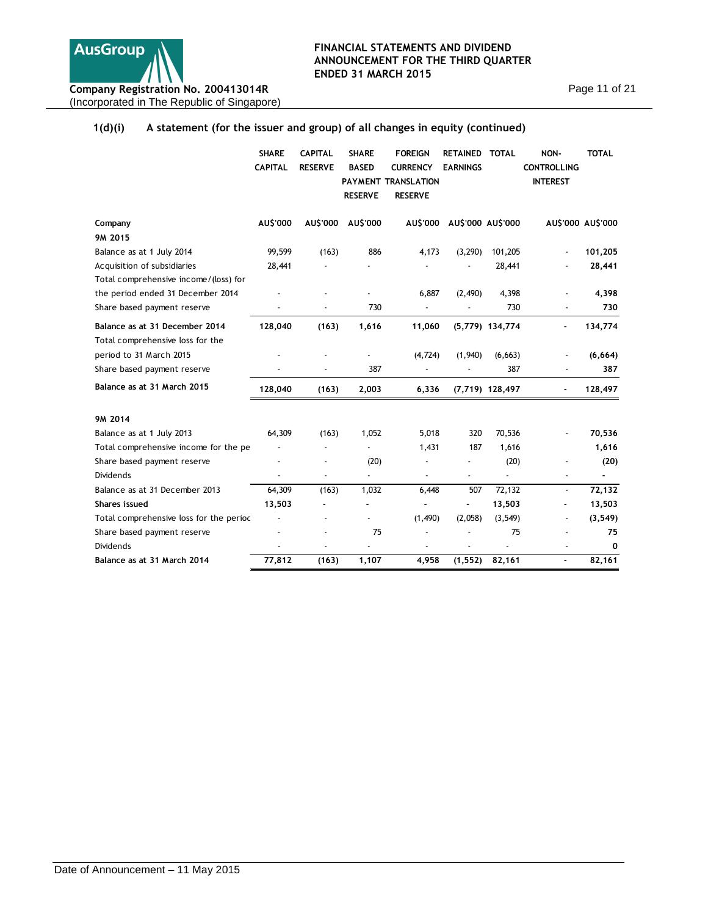

# **1(d)(i) A statement (for the issuer and group) of all changes in equity (continued)**

|                                         | <b>SHARE</b><br><b>CAPITAL</b> | <b>CAPITAL</b><br><b>RESERVE</b> | <b>SHARE</b><br><b>BASED</b><br><b>RESERVE</b> | <b>FOREIGN</b><br><b>CURRENCY</b><br>PAYMENT TRANSLATION<br><b>RESERVE</b> | RETAINED TOTAL<br><b>EARNINGS</b> |                   | NON-<br><b>CONTROLLING</b><br><b>INTEREST</b> | <b>TOTAL</b>             |
|-----------------------------------------|--------------------------------|----------------------------------|------------------------------------------------|----------------------------------------------------------------------------|-----------------------------------|-------------------|-----------------------------------------------|--------------------------|
| Company                                 | AU\$'000                       | AU\$'000                         | AU\$'000                                       |                                                                            | AU\$'000 AU\$'000 AU\$'000        |                   |                                               | AU\$'000 AU\$'000        |
| 9M 2015                                 |                                |                                  |                                                |                                                                            |                                   |                   |                                               |                          |
| Balance as at 1 July 2014               | 99,599                         | (163)                            | 886                                            | 4,173                                                                      | (3,290)                           | 101,205           |                                               | 101,205                  |
| Acquisition of subsidiaries             | 28,441                         |                                  |                                                |                                                                            |                                   | 28,441            |                                               | 28,441                   |
| Total comprehensive income/(loss) for   |                                |                                  |                                                |                                                                            |                                   |                   |                                               |                          |
| the period ended 31 December 2014       |                                |                                  |                                                | 6,887                                                                      | (2,490)                           | 4,398             |                                               | 4,398                    |
| Share based payment reserve             |                                |                                  | 730                                            |                                                                            |                                   | 730               |                                               | 730                      |
| Balance as at 31 December 2014          | 128,040                        | (163)                            | 1,616                                          | 11,060                                                                     |                                   | $(5,779)$ 134,774 |                                               | 134,774                  |
| Total comprehensive loss for the        |                                |                                  |                                                |                                                                            |                                   |                   |                                               |                          |
| period to 31 March 2015                 |                                |                                  |                                                | (4, 724)                                                                   | (1,940)                           | (6, 663)          |                                               | (6,664)                  |
| Share based payment reserve             |                                | $\overline{a}$                   | 387                                            | Ĭ.                                                                         |                                   | 387               |                                               | 387                      |
| Balance as at 31 March 2015             | 128,040                        | (163)                            | 2,003                                          | 6,336                                                                      |                                   | $(7,719)$ 128,497 | ٠                                             | 128,497                  |
| 9M 2014                                 |                                |                                  |                                                |                                                                            |                                   |                   |                                               |                          |
| Balance as at 1 July 2013               | 64,309                         | (163)                            | 1,052                                          | 5,018                                                                      | 320                               | 70,536            |                                               | 70,536                   |
| Total comprehensive income for the pe   |                                | ÷,                               | $\overline{a}$                                 | 1,431                                                                      | 187                               | 1,616             |                                               | 1,616                    |
| Share based payment reserve             |                                | ÷,                               | (20)                                           |                                                                            |                                   | (20)              |                                               | (20)                     |
| <b>Dividends</b>                        |                                | ÷,                               | $\overline{a}$                                 | Ĭ.                                                                         | $\overline{a}$                    | $\overline{a}$    | ÷,                                            | $\overline{\phantom{a}}$ |
| Balance as at 31 December 2013          | 64,309                         | (163)                            | 1,032                                          | 6,448                                                                      | 507                               | 72,132            | $\overline{\phantom{a}}$                      | 72,132                   |
| Shares issued                           | 13,503                         |                                  | ä,                                             |                                                                            | ٠                                 | 13,503            | ä,                                            | 13,503                   |
| Total comprehensive loss for the perioc |                                | ÷,                               |                                                | (1,490)                                                                    | (2,058)                           | (3, 549)          | $\blacksquare$                                | (3, 549)                 |
| Share based payment reserve             |                                |                                  | 75                                             |                                                                            |                                   | 75                |                                               | 75                       |
| <b>Dividends</b>                        |                                |                                  |                                                |                                                                            |                                   |                   |                                               | 0                        |
| Balance as at 31 March 2014             | 77,812                         | (163)                            | 1,107                                          | 4,958                                                                      | (1, 552)                          | 82,161            | ٠                                             | 82,161                   |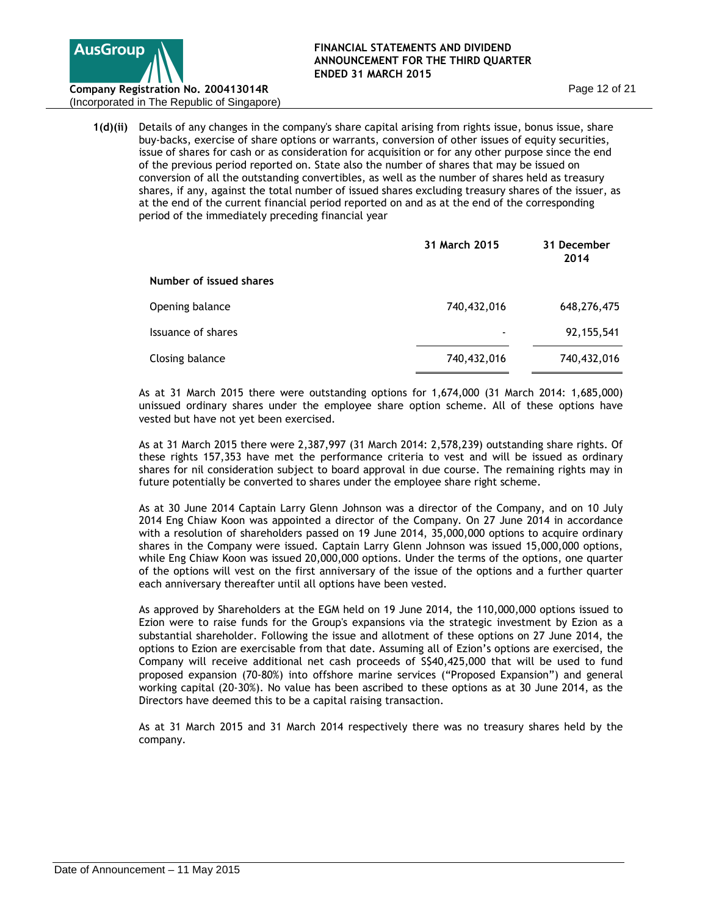

(Incorporated in The Republic of Singapore)

**1(d)(ii)** Details of any changes in the company's share capital arising from rights issue, bonus issue, share buy-backs, exercise of share options or warrants, conversion of other issues of equity securities, issue of shares for cash or as consideration for acquisition or for any other purpose since the end of the previous period reported on. State also the number of shares that may be issued on conversion of all the outstanding convertibles, as well as the number of shares held as treasury shares, if any, against the total number of issued shares excluding treasury shares of the issuer, as at the end of the current financial period reported on and as at the end of the corresponding period of the immediately preceding financial year

|                         | 31 March 2015 | 31 December<br>2014 |
|-------------------------|---------------|---------------------|
| Number of issued shares |               |                     |
| Opening balance         | 740,432,016   | 648,276,475         |
| Issuance of shares      |               | 92, 155, 541        |
| Closing balance         | 740,432,016   | 740,432,016         |

As at 31 March 2015 there were outstanding options for 1,674,000 (31 March 2014: 1,685,000) unissued ordinary shares under the employee share option scheme. All of these options have vested but have not yet been exercised.

As at 31 March 2015 there were 2,387,997 (31 March 2014: 2,578,239) outstanding share rights. Of these rights 157,353 have met the performance criteria to vest and will be issued as ordinary shares for nil consideration subject to board approval in due course. The remaining rights may in future potentially be converted to shares under the employee share right scheme.

As at 30 June 2014 Captain Larry Glenn Johnson was a director of the Company, and on 10 July 2014 Eng Chiaw Koon was appointed a director of the Company. On 27 June 2014 in accordance with a resolution of shareholders passed on 19 June 2014, 35,000,000 options to acquire ordinary shares in the Company were issued. Captain Larry Glenn Johnson was issued 15,000,000 options, while Eng Chiaw Koon was issued 20,000,000 options. Under the terms of the options, one quarter of the options will vest on the first anniversary of the issue of the options and a further quarter each anniversary thereafter until all options have been vested.

As approved by Shareholders at the EGM held on 19 June 2014, the 110,000,000 options issued to Ezion were to raise funds for the Group's expansions via the strategic investment by Ezion as a substantial shareholder. Following the issue and allotment of these options on 27 June 2014, the options to Ezion are exercisable from that date. Assuming all of Ezion's options are exercised, the Company will receive additional net cash proceeds of S\$40,425,000 that will be used to fund proposed expansion (70-80%) into offshore marine services ("Proposed Expansion") and general working capital (20-30%). No value has been ascribed to these options as at 30 June 2014, as the Directors have deemed this to be a capital raising transaction.

As at 31 March 2015 and 31 March 2014 respectively there was no treasury shares held by the company.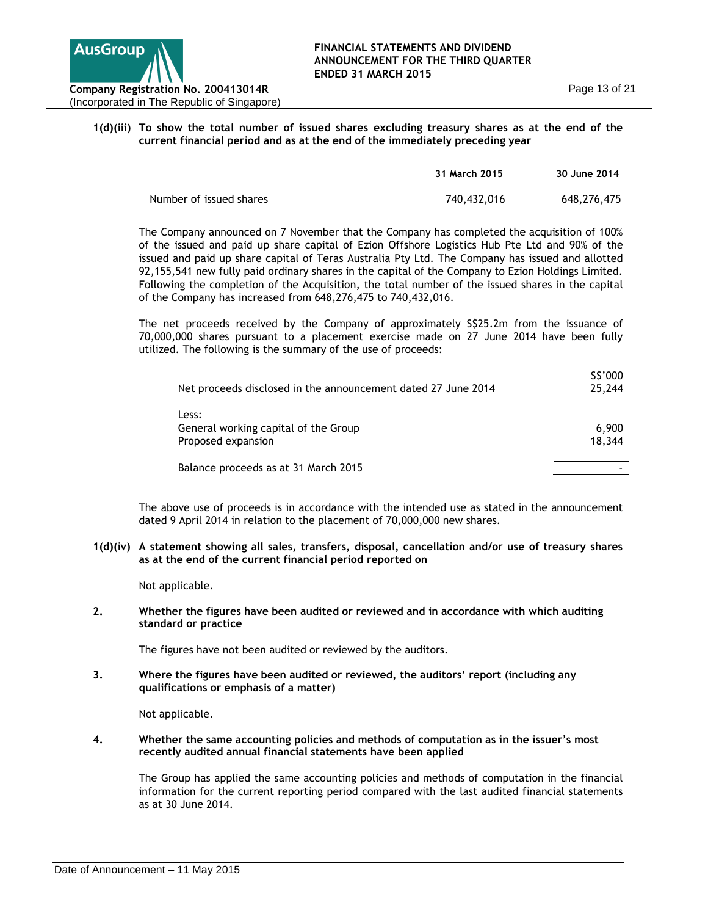

# **1(d)(iii) To show the total number of issued shares excluding treasury shares as at the end of the current financial period and as at the end of the immediately preceding year**

|                         | 31 March 2015 | 30 June 2014 |
|-------------------------|---------------|--------------|
| Number of issued shares | 740,432,016   | 648.276.475  |

The Company announced on 7 November that the Company has completed the acquisition of 100% of the issued and paid up share capital of Ezion Offshore Logistics Hub Pte Ltd and 90% of the issued and paid up share capital of Teras Australia Pty Ltd. The Company has issued and allotted 92,155,541 new fully paid ordinary shares in the capital of the Company to Ezion Holdings Limited. Following the completion of the Acquisition, the total number of the issued shares in the capital of the Company has increased from 648,276,475 to 740,432,016.

The net proceeds received by the Company of approximately S\$25.2m from the issuance of 70,000,000 shares pursuant to a placement exercise made on 27 June 2014 have been fully utilized. The following is the summary of the use of proceeds:

| Net proceeds disclosed in the announcement dated 27 June 2014       | S\$'000<br>25,244 |
|---------------------------------------------------------------------|-------------------|
| Less:<br>General working capital of the Group<br>Proposed expansion | 6,900<br>18,344   |
| Balance proceeds as at 31 March 2015                                |                   |

The above use of proceeds is in accordance with the intended use as stated in the announcement dated 9 April 2014 in relation to the placement of 70,000,000 new shares.

**1(d)(iv) A statement showing all sales, transfers, disposal, cancellation and/or use of treasury shares as at the end of the current financial period reported on** 

Not applicable.

**2. Whether the figures have been audited or reviewed and in accordance with which auditing standard or practice**

The figures have not been audited or reviewed by the auditors.

**3. Where the figures have been audited or reviewed, the auditors' report (including any qualifications or emphasis of a matter)**

Not applicable.

**4. Whether the same accounting policies and methods of computation as in the issuer's most recently audited annual financial statements have been applied**

The Group has applied the same accounting policies and methods of computation in the financial information for the current reporting period compared with the last audited financial statements as at 30 June 2014.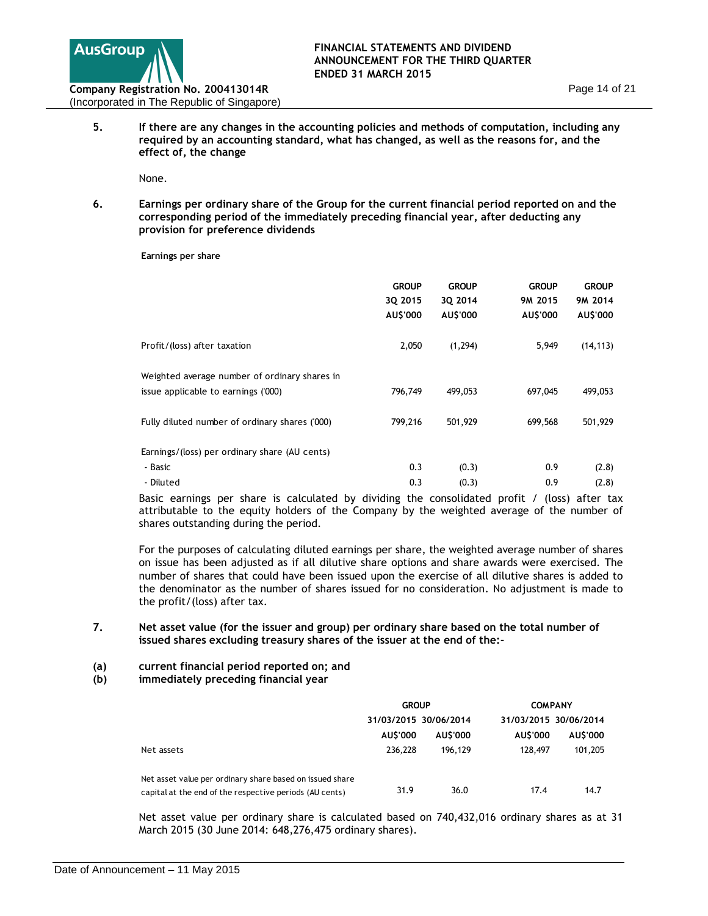

**5. If there are any changes in the accounting policies and methods of computation, including any required by an accounting standard, what has changed, as well as the reasons for, and the effect of, the change**

None.

**6. Earnings per ordinary share of the Group for the current financial period reported on and the corresponding period of the immediately preceding financial year, after deducting any provision for preference dividends**

**Earnings per share**

|                                                                                      | <b>GROUP</b><br>3Q 2015<br>AU\$'000 | <b>GROUP</b><br>30 2014<br>AU\$'000 | <b>GROUP</b><br>9M 2015<br>AU\$'000 | <b>GROUP</b><br>9M 2014<br>AU\$'000 |
|--------------------------------------------------------------------------------------|-------------------------------------|-------------------------------------|-------------------------------------|-------------------------------------|
| Profit/(loss) after taxation                                                         | 2,050                               | (1, 294)                            | 5,949                               | (14, 113)                           |
| Weighted average number of ordinary shares in<br>issue applicable to earnings ('000) | 796,749                             | 499,053                             | 697,045                             | 499,053                             |
| Fully diluted number of ordinary shares ('000)                                       | 799,216                             | 501,929                             | 699,568                             | 501,929                             |
| Earnings/(loss) per ordinary share (AU cents)                                        |                                     |                                     |                                     |                                     |
| - Basic                                                                              | 0.3                                 | (0.3)                               | 0.9                                 | (2.8)                               |
| - Diluted                                                                            | 0.3                                 | (0.3)                               | 0.9                                 | (2.8)                               |

Basic earnings per share is calculated by dividing the consolidated profit / (loss) after tax attributable to the equity holders of the Company by the weighted average of the number of shares outstanding during the period.

For the purposes of calculating diluted earnings per share, the weighted average number of shares on issue has been adjusted as if all dilutive share options and share awards were exercised. The number of shares that could have been issued upon the exercise of all dilutive shares is added to the denominator as the number of shares issued for no consideration. No adjustment is made to the profit/(loss) after tax.

- **7. Net asset value (for the issuer and group) per ordinary share based on the total number of issued shares excluding treasury shares of the issuer at the end of the:-**
- **(a) current financial period reported on; and**
- **(b) immediately preceding financial year**

|                                                                                                                     | <b>GROUP</b> |                                  |          | <b>COMPANY</b>                   |  |
|---------------------------------------------------------------------------------------------------------------------|--------------|----------------------------------|----------|----------------------------------|--|
|                                                                                                                     | AUS'000      | 31/03/2015 30/06/2014<br>AUS'000 | AU\$'000 | 31/03/2015 30/06/2014<br>AUS'000 |  |
| Net assets                                                                                                          | 236,228      | 196.129                          | 128,497  | 101,205                          |  |
| Net asset value per ordinary share based on issued share<br>capital at the end of the respective periods (AU cents) | 31.9         | 36.0                             | 17.4     | 14.7                             |  |

Net asset value per ordinary share is calculated based on 740,432,016 ordinary shares as at 31 March 2015 (30 June 2014: 648,276,475 ordinary shares).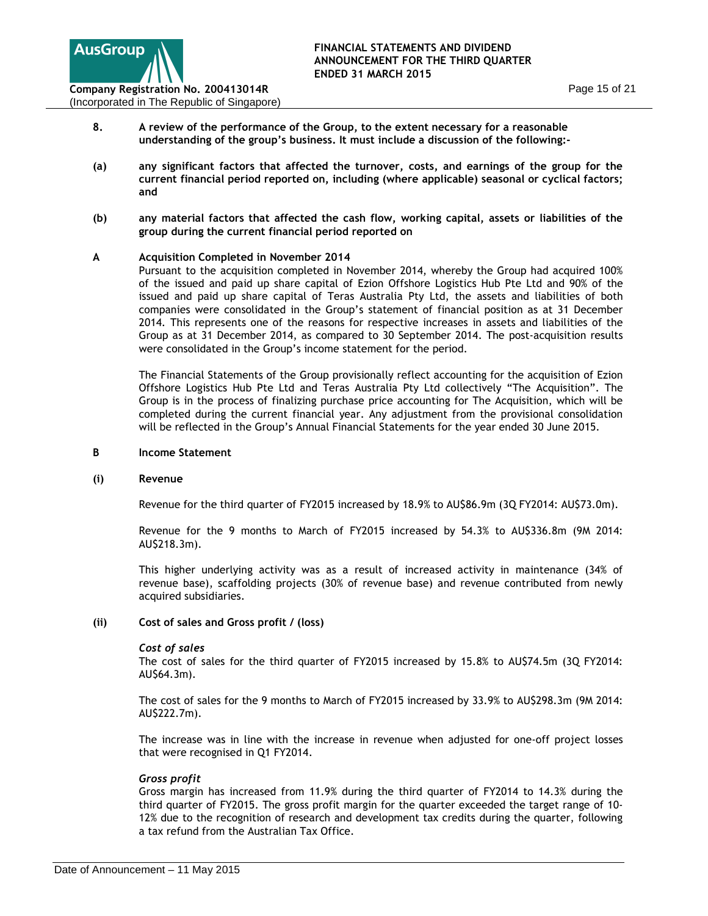

- **8. A review of the performance of the Group, to the extent necessary for a reasonable understanding of the group's business. It must include a discussion of the following:-**
- **(a) any significant factors that affected the turnover, costs, and earnings of the group for the current financial period reported on, including (where applicable) seasonal or cyclical factors; and**
- **(b) any material factors that affected the cash flow, working capital, assets or liabilities of the group during the current financial period reported on**

# **A Acquisition Completed in November 2014**

Pursuant to the acquisition completed in November 2014, whereby the Group had acquired 100% of the issued and paid up share capital of Ezion Offshore Logistics Hub Pte Ltd and 90% of the issued and paid up share capital of Teras Australia Pty Ltd, the assets and liabilities of both companies were consolidated in the Group's statement of financial position as at 31 December 2014. This represents one of the reasons for respective increases in assets and liabilities of the Group as at 31 December 2014, as compared to 30 September 2014. The post-acquisition results were consolidated in the Group's income statement for the period.

The Financial Statements of the Group provisionally reflect accounting for the acquisition of Ezion Offshore Logistics Hub Pte Ltd and Teras Australia Pty Ltd collectively "The Acquisition". The Group is in the process of finalizing purchase price accounting for The Acquisition, which will be completed during the current financial year. Any adjustment from the provisional consolidation will be reflected in the Group's Annual Financial Statements for the year ended 30 June 2015.

#### **B Income Statement**

#### **(i) Revenue**

Revenue for the third quarter of FY2015 increased by 18.9% to AU\$86.9m (3Q FY2014: AU\$73.0m).

Revenue for the 9 months to March of FY2015 increased by 54.3% to AU\$336.8m (9M 2014: AU\$218.3m).

This higher underlying activity was as a result of increased activity in maintenance (34% of revenue base), scaffolding projects (30% of revenue base) and revenue contributed from newly acquired subsidiaries.

#### **(ii) Cost of sales and Gross profit / (loss)**

#### *Cost of sales*

The cost of sales for the third quarter of FY2015 increased by 15.8% to AU\$74.5m (3Q FY2014: AU\$64.3m).

The cost of sales for the 9 months to March of FY2015 increased by 33.9% to AU\$298.3m (9M 2014: AU\$222.7m).

The increase was in line with the increase in revenue when adjusted for one-off project losses that were recognised in Q1 FY2014.

#### *Gross profit*

Gross margin has increased from 11.9% during the third quarter of FY2014 to 14.3% during the third quarter of FY2015. The gross profit margin for the quarter exceeded the target range of 10- 12% due to the recognition of research and development tax credits during the quarter, following a tax refund from the Australian Tax Office.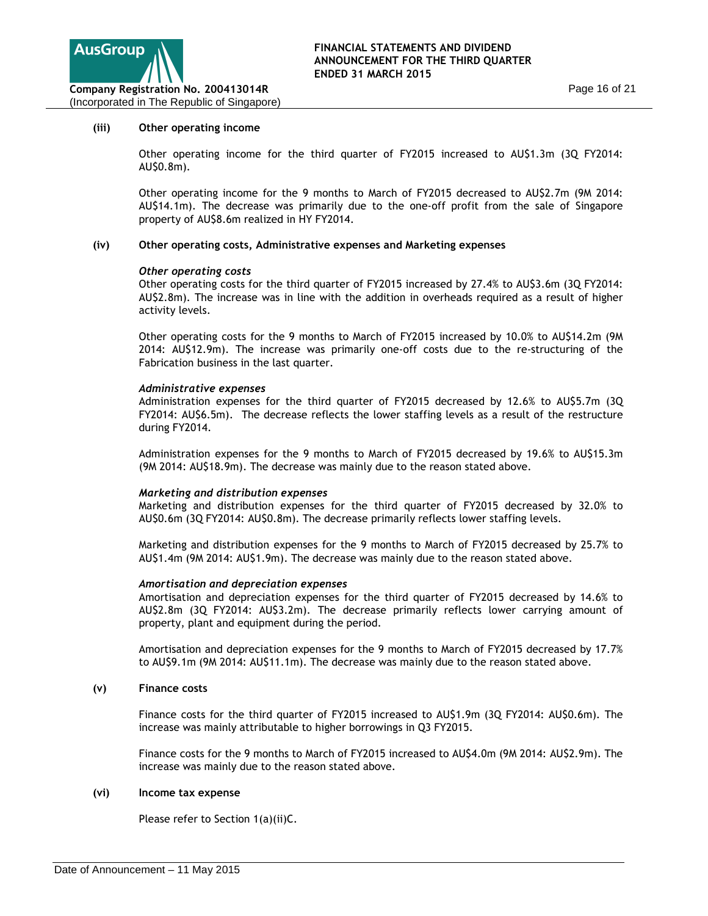

#### **(iii) Other operating income**

Other operating income for the third quarter of FY2015 increased to AU\$1.3m (3Q FY2014: AU\$0.8m).

Other operating income for the 9 months to March of FY2015 decreased to AU\$2.7m (9M 2014: AU\$14.1m). The decrease was primarily due to the one-off profit from the sale of Singapore property of AU\$8.6m realized in HY FY2014.

# **(iv) Other operating costs, Administrative expenses and Marketing expenses**

#### *Other operating costs*

Other operating costs for the third quarter of FY2015 increased by 27.4% to AU\$3.6m (3Q FY2014: AU\$2.8m). The increase was in line with the addition in overheads required as a result of higher activity levels.

Other operating costs for the 9 months to March of FY2015 increased by 10.0% to AU\$14.2m (9M 2014: AU\$12.9m). The increase was primarily one-off costs due to the re-structuring of the Fabrication business in the last quarter.

#### *Administrative expenses*

Administration expenses for the third quarter of FY2015 decreased by 12.6% to AU\$5.7m (3Q FY2014: AU\$6.5m). The decrease reflects the lower staffing levels as a result of the restructure during FY2014.

Administration expenses for the 9 months to March of FY2015 decreased by 19.6% to AU\$15.3m (9M 2014: AU\$18.9m). The decrease was mainly due to the reason stated above.

#### *Marketing and distribution expenses*

Marketing and distribution expenses for the third quarter of FY2015 decreased by 32.0% to AU\$0.6m (3Q FY2014: AU\$0.8m). The decrease primarily reflects lower staffing levels.

Marketing and distribution expenses for the 9 months to March of FY2015 decreased by 25.7% to AU\$1.4m (9M 2014: AU\$1.9m). The decrease was mainly due to the reason stated above.

### *Amortisation and depreciation expenses*

Amortisation and depreciation expenses for the third quarter of FY2015 decreased by 14.6% to AU\$2.8m (3Q FY2014: AU\$3.2m). The decrease primarily reflects lower carrying amount of property, plant and equipment during the period.

Amortisation and depreciation expenses for the 9 months to March of FY2015 decreased by 17.7% to AU\$9.1m (9M 2014: AU\$11.1m). The decrease was mainly due to the reason stated above.

## **(v) Finance costs**

Finance costs for the third quarter of FY2015 increased to AU\$1.9m (3Q FY2014: AU\$0.6m). The increase was mainly attributable to higher borrowings in Q3 FY2015.

Finance costs for the 9 months to March of FY2015 increased to AU\$4.0m (9M 2014: AU\$2.9m). The increase was mainly due to the reason stated above.

#### **(vi) Income tax expense**

Please refer to Section 1(a)(ii)C.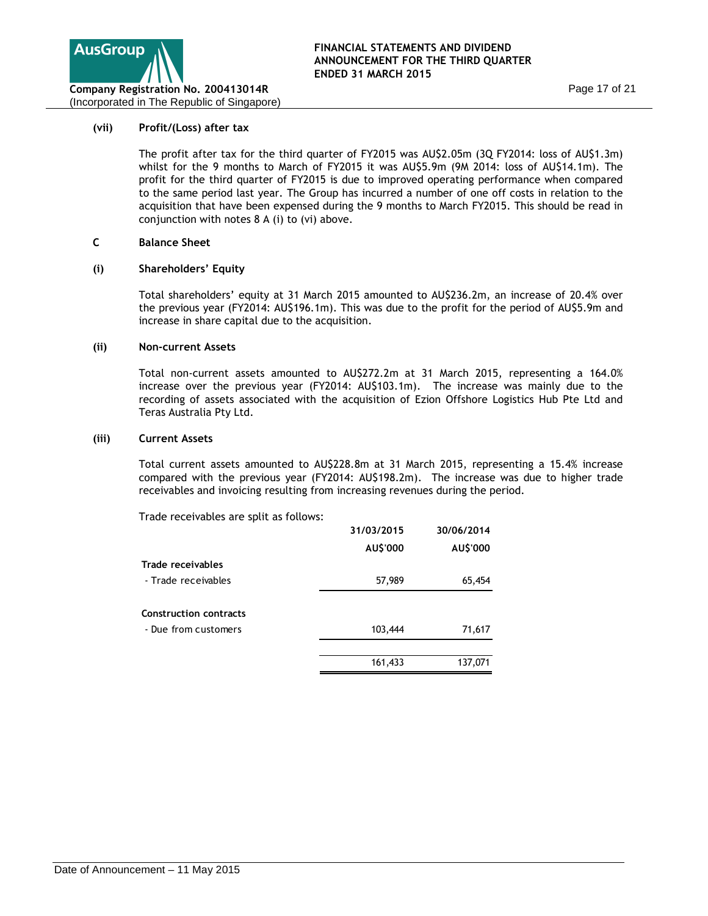

### **(vii) Profit/(Loss) after tax**

The profit after tax for the third quarter of FY2015 was AU\$2.05m (3Q FY2014: loss of AU\$1.3m) whilst for the 9 months to March of FY2015 it was AU\$5.9m (9M 2014: loss of AU\$14.1m). The profit for the third quarter of FY2015 is due to improved operating performance when compared to the same period last year. The Group has incurred a number of one off costs in relation to the acquisition that have been expensed during the 9 months to March FY2015. This should be read in conjunction with notes 8 A (i) to (vi) above.

# **C Balance Sheet**

#### **(i) Shareholders' Equity**

Total shareholders' equity at 31 March 2015 amounted to AU\$236.2m, an increase of 20.4% over the previous year (FY2014: AU\$196.1m). This was due to the profit for the period of AU\$5.9m and increase in share capital due to the acquisition.

#### **(ii) Non-current Assets**

Total non-current assets amounted to AU\$272.2m at 31 March 2015, representing a 164.0% increase over the previous year (FY2014: AU\$103.1m). The increase was mainly due to the recording of assets associated with the acquisition of Ezion Offshore Logistics Hub Pte Ltd and Teras Australia Pty Ltd.

#### **(iii) Current Assets**

Total current assets amounted to AU\$228.8m at 31 March 2015, representing a 15.4% increase compared with the previous year (FY2014: AU\$198.2m). The increase was due to higher trade receivables and invoicing resulting from increasing revenues during the period.

Trade receivables are split as follows:

|                               | 31/03/2015 | 30/06/2014 |
|-------------------------------|------------|------------|
|                               | AU\$'000   | AU\$'000   |
| Trade receivables             |            |            |
| - Trade receivables           | 57,989     | 65,454     |
| <b>Construction contracts</b> |            |            |
| - Due from customers          | 103,444    | 71,617     |
|                               |            |            |
|                               | 161,433    | 137,071    |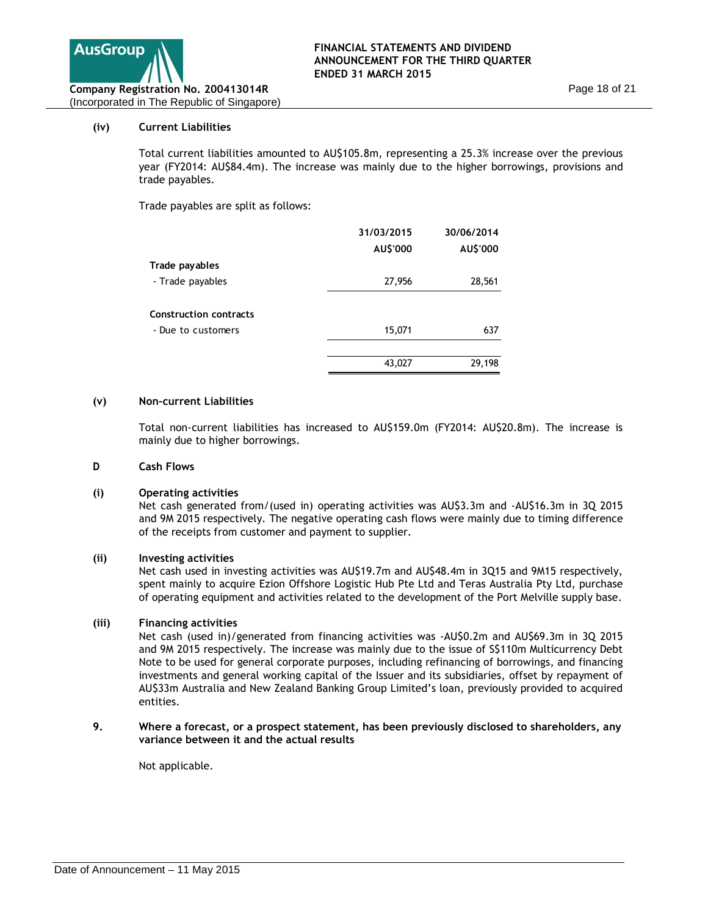

# **(iv) Current Liabilities**

Total current liabilities amounted to AU\$105.8m, representing a 25.3% increase over the previous year (FY2014: AU\$84.4m). The increase was mainly due to the higher borrowings, provisions and trade payables.

Trade payables are split as follows:

|                        | 31/03/2015 | 30/06/2014 |
|------------------------|------------|------------|
|                        | AU\$'000   | AU\$'000   |
| Trade payables         |            |            |
| - Trade payables       | 27,956     | 28,561     |
|                        |            |            |
| Construction contracts |            |            |
| - Due to customers     | 15,071     | 637        |
|                        |            |            |
|                        | 43,027     | 29,198     |

#### **(v) Non-current Liabilities**

Total non-current liabilities has increased to AU\$159.0m (FY2014: AU\$20.8m). The increase is mainly due to higher borrowings.

#### **D Cash Flows**

#### **(i) Operating activities**

Net cash generated from/(used in) operating activities was AU\$3.3m and -AU\$16.3m in 3Q 2015 and 9M 2015 respectively. The negative operating cash flows were mainly due to timing difference of the receipts from customer and payment to supplier.

#### **(ii) Investing activities**

Net cash used in investing activities was AU\$19.7m and AU\$48.4m in 3Q15 and 9M15 respectively, spent mainly to acquire Ezion Offshore Logistic Hub Pte Ltd and Teras Australia Pty Ltd, purchase of operating equipment and activities related to the development of the Port Melville supply base.

# **(iii) Financing activities**

Net cash (used in)/generated from financing activities was -AU\$0.2m and AU\$69.3m in 3Q 2015 and 9M 2015 respectively. The increase was mainly due to the issue of S\$110m Multicurrency Debt Note to be used for general corporate purposes, including refinancing of borrowings, and financing investments and general working capital of the Issuer and its subsidiaries, offset by repayment of AU\$33m Australia and New Zealand Banking Group Limited's loan, previously provided to acquired entities.

#### **9. Where a forecast, or a prospect statement, has been previously disclosed to shareholders, any variance between it and the actual results**

Not applicable.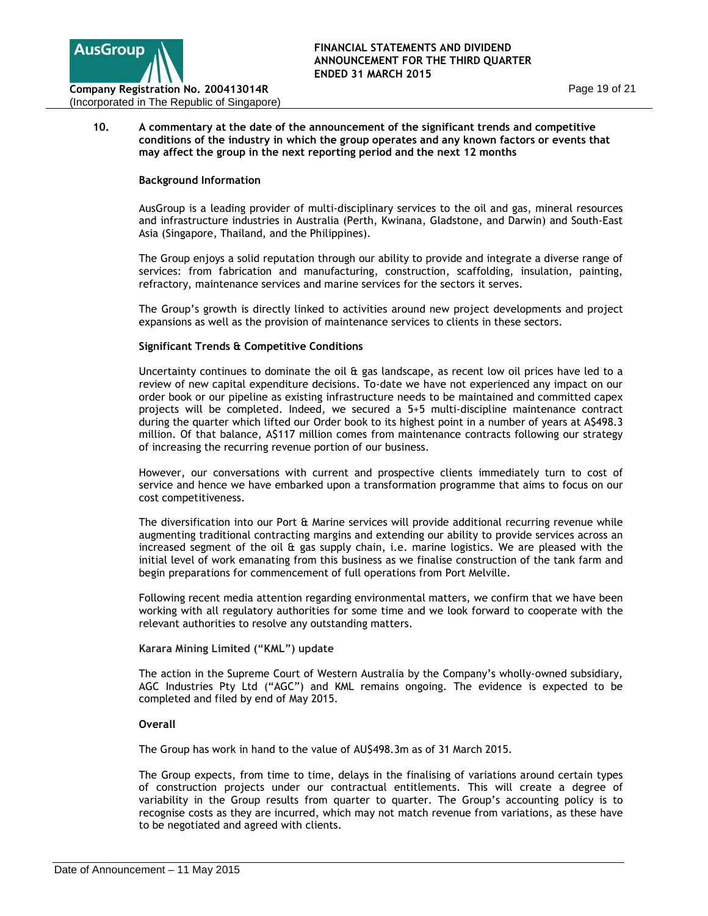

# **10. A commentary at the date of the announcement of the significant trends and competitive conditions of the industry in which the group operates and any known factors or events that may affect the group in the next reporting period and the next 12 months**

# **Background Information**

AusGroup is a leading provider of multi-disciplinary services to the oil and gas, mineral resources and infrastructure industries in Australia (Perth, Kwinana, Gladstone, and Darwin) and South-East Asia (Singapore, Thailand, and the Philippines).

The Group enjoys a solid reputation through our ability to provide and integrate a diverse range of services: from fabrication and manufacturing, construction, scaffolding, insulation, painting, refractory, maintenance services and marine services for the sectors it serves.

The Group's growth is directly linked to activities around new project developments and project expansions as well as the provision of maintenance services to clients in these sectors.

# **Significant Trends & Competitive Conditions**

Uncertainty continues to dominate the oil & gas landscape, as recent low oil prices have led to a review of new capital expenditure decisions. To-date we have not experienced any impact on our order book or our pipeline as existing infrastructure needs to be maintained and committed capex projects will be completed. Indeed, we secured a 5+5 multi-discipline maintenance contract during the quarter which lifted our Order book to its highest point in a number of years at A\$498.3 million. Of that balance, A\$117 million comes from maintenance contracts following our strategy of increasing the recurring revenue portion of our business.

However, our conversations with current and prospective clients immediately turn to cost of service and hence we have embarked upon a transformation programme that aims to focus on our cost competitiveness.

The diversification into our Port & Marine services will provide additional recurring revenue while augmenting traditional contracting margins and extending our ability to provide services across an increased segment of the oil & gas supply chain, i.e. marine logistics. We are pleased with the initial level of work emanating from this business as we finalise construction of the tank farm and begin preparations for commencement of full operations from Port Melville.

Following recent media attention regarding environmental matters, we confirm that we have been working with all regulatory authorities for some time and we look forward to cooperate with the relevant authorities to resolve any outstanding matters.

# **Karara Mining Limited ("KML") update**

The action in the Supreme Court of Western Australia by the Company's wholly-owned subsidiary, AGC Industries Pty Ltd ("AGC") and KML remains ongoing. The evidence is expected to be completed and filed by end of May 2015.

#### **Overall**

The Group has work in hand to the value of AU\$498.3m as of 31 March 2015.

The Group expects, from time to time, delays in the finalising of variations around certain types of construction projects under our contractual entitlements. This will create a degree of variability in the Group results from quarter to quarter. The Group's accounting policy is to recognise costs as they are incurred, which may not match revenue from variations, as these have to be negotiated and agreed with clients.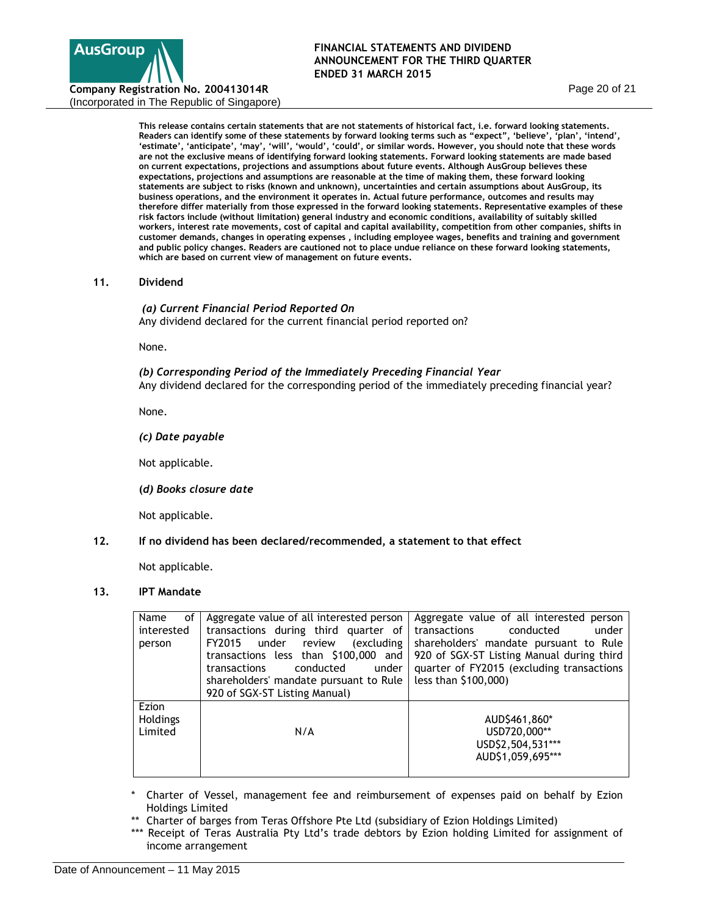

**This release contains certain statements that are not statements of historical fact, i.e. forward looking statements. Readers can identify some of these statements by forward looking terms such as "expect", 'believe', 'plan', 'intend',**  'estimate', 'anticipate', 'may', 'will', 'would', 'could', or similar words. However, you should note that these words **are not the exclusive means of identifying forward looking statements. Forward looking statements are made based on current expectations, projections and assumptions about future events. Although AusGroup believes these expectations, projections and assumptions are reasonable at the time of making them, these forward looking statements are subject to risks (known and unknown), uncertainties and certain assumptions about AusGroup, its business operations, and the environment it operates in. Actual future performance, outcomes and results may therefore differ materially from those expressed in the forward looking statements. Representative examples of these risk factors include (without limitation) general industry and economic conditions, availability of suitably skilled workers, interest rate movements, cost of capital and capital availability, competition from other companies, shifts in customer demands, changes in operating expenses , including employee wages, benefits and training and government and public policy changes. Readers are cautioned not to place undue reliance on these forward looking statements, which are based on current view of management on future events.** 

#### **11. Dividend**

*(a) Current Financial Period Reported On* Any dividend declared for the current financial period reported on?

None.

#### *(b) Corresponding Period of the Immediately Preceding Financial Year*

Any dividend declared for the corresponding period of the immediately preceding financial year?

None.

*(c) Date payable* 

Not applicable.

 **(***d) Books closure date*

Not applicable.

# **12. If no dividend has been declared/recommended, a statement to that effect**

Not applicable.

# **13. IPT Mandate**

| Name<br>οf<br>interested<br>person | Aggregate value of all interested person<br>transactions during third quarter of<br>under review<br>(excluding<br>FY2015<br>transactions less than \$100,000 and<br>conducted<br>under<br>transactions<br>shareholders' mandate pursuant to Rule<br>920 of SGX-ST Listing Manual) | Aggregate value of all interested person<br>transactions<br>conducted<br>under<br>shareholders' mandate pursuant to Rule<br>920 of SGX-ST Listing Manual during third<br>quarter of FY2015 (excluding transactions<br>less than \$100,000) |
|------------------------------------|-----------------------------------------------------------------------------------------------------------------------------------------------------------------------------------------------------------------------------------------------------------------------------------|--------------------------------------------------------------------------------------------------------------------------------------------------------------------------------------------------------------------------------------------|
| Ezion<br>Holdings<br>Limited       | N/A                                                                                                                                                                                                                                                                               | AUD\$461,860*<br>USD720,000**<br>USD\$2,504,531***<br>AUD\$1,059,695***                                                                                                                                                                    |

- Charter of Vessel, management fee and reimbursement of expenses paid on behalf by Ezion Holdings Limited
- \*\* Charter of barges from Teras Offshore Pte Ltd (subsidiary of Ezion Holdings Limited)
- \*\*\* Receipt of Teras Australia Pty Ltd's trade debtors by Ezion holding Limited for assignment of income arrangement